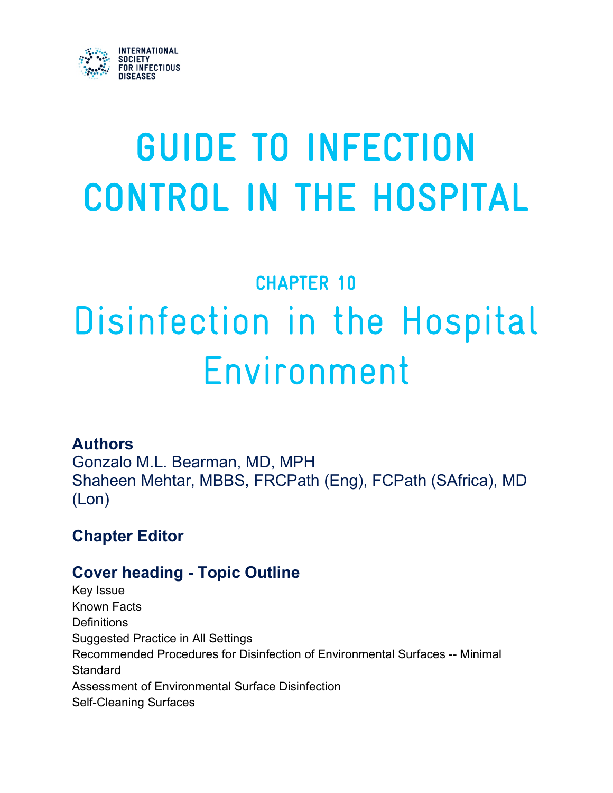

# GUIDE TO INFECTION CONTROL IN THE HOSPITAL

## CHAPTER 10 Disinfection in the Hospital Environment

#### **Authors**

Gonzalo M.L. Bearman, MD, MPH Shaheen Mehtar, MBBS, FRCPath (Eng), FCPath (SAfrica), MD (Lon)

#### **Chapter Editor**

#### **Cover heading - Topic Outline**

Key Issue Known Facts **Definitions** Suggested Practice in All Settings Recommended Procedures for Disinfection of Environmental Surfaces -- Minimal Standard Assessment of Environmental Surface Disinfection Self-Cleaning Surfaces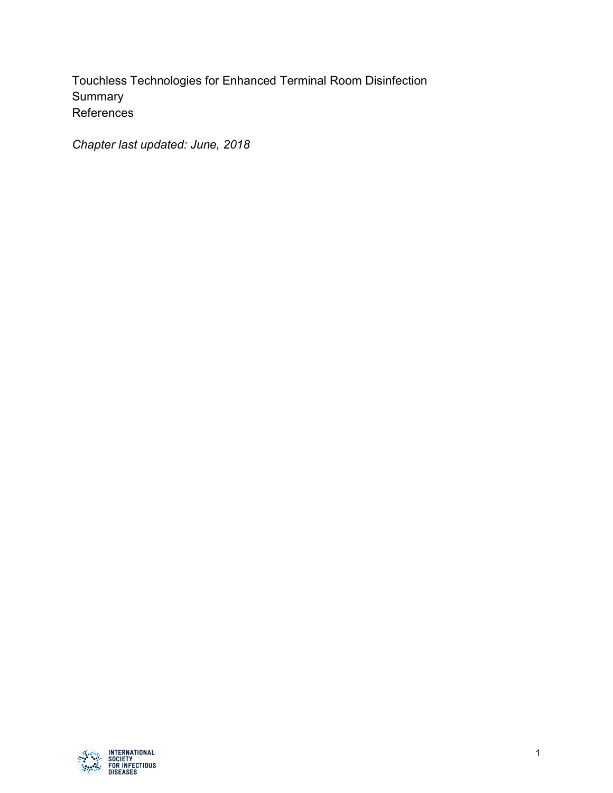Touchless Technologies for Enhanced Terminal Room Disinfection Summary References

*Chapter last updated: June, 2018*

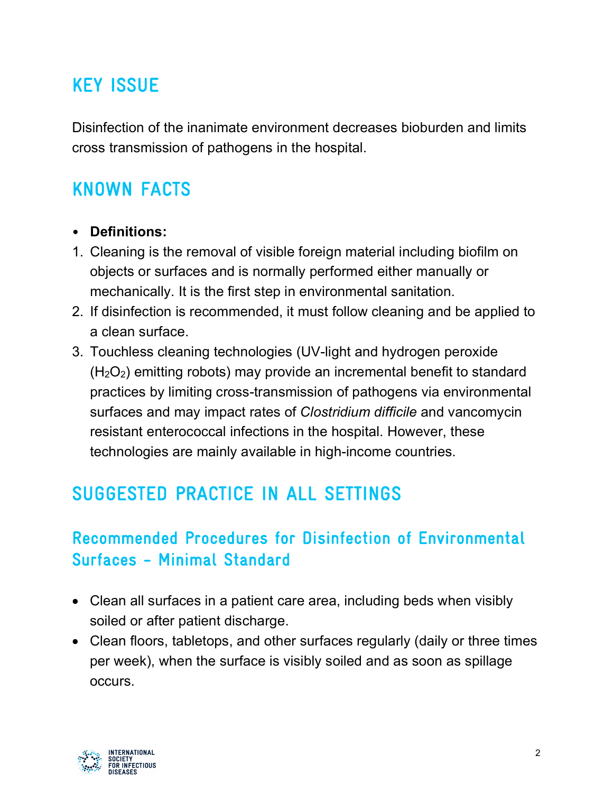## KEY ISSUE

Disinfection of the inanimate environment decreases bioburden and limits cross transmission of pathogens in the hospital.

## KNOWN FACTS

#### • **Definitions:**

- 1. Cleaning is the removal of visible foreign material including biofilm on objects or surfaces and is normally performed either manually or mechanically. It is the first step in environmental sanitation.
- 2. If disinfection is recommended, it must follow cleaning and be applied to a clean surface.
- 3. Touchless cleaning technologies (UV-light and hydrogen peroxide  $(H<sub>2</sub>O<sub>2</sub>)$  emitting robots) may provide an incremental benefit to standard practices by limiting cross-transmission of pathogens via environmental surfaces and may impact rates of *Clostridium difficile* and vancomycin resistant enterococcal infections in the hospital. However, these technologies are mainly available in high-income countries.

## SUGGESTED PRACTICE IN ALL SETTINGS

#### Recommended Procedures for Disinfection of Environmental Surfaces - Minimal Standard

- Clean all surfaces in a patient care area, including beds when visibly soiled or after patient discharge.
- Clean floors, tabletops, and other surfaces regularly (daily or three times per week), when the surface is visibly soiled and as soon as spillage occurs.

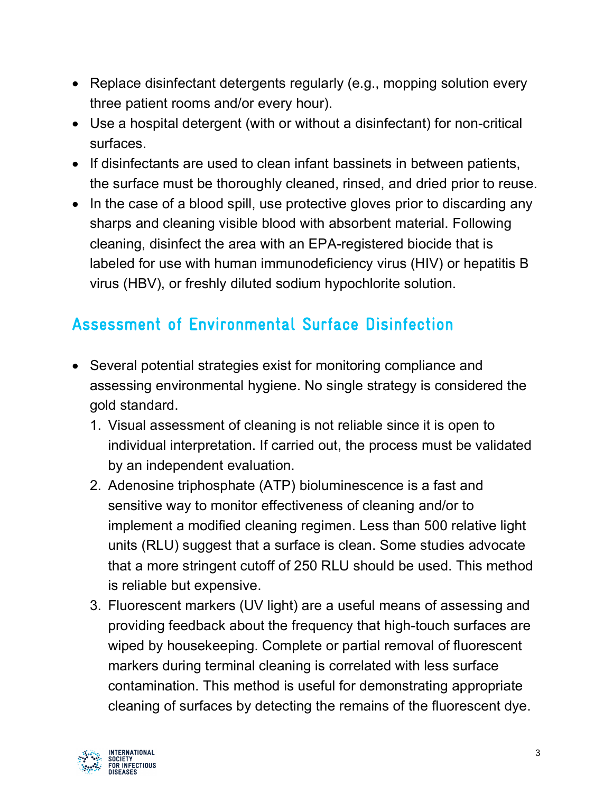- Replace disinfectant detergents regularly (e.g., mopping solution every three patient rooms and/or every hour).
- Use a hospital detergent (with or without a disinfectant) for non-critical surfaces.
- If disinfectants are used to clean infant bassinets in between patients, the surface must be thoroughly cleaned, rinsed, and dried prior to reuse.
- In the case of a blood spill, use protective gloves prior to discarding any sharps and cleaning visible blood with absorbent material. Following cleaning, disinfect the area with an EPA-registered biocide that is labeled for use with human immunodeficiency virus (HIV) or hepatitis B virus (HBV), or freshly diluted sodium hypochlorite solution.

#### Assessment of Environmental Surface Disinfection

- Several potential strategies exist for monitoring compliance and assessing environmental hygiene. No single strategy is considered the gold standard.
	- 1. Visual assessment of cleaning is not reliable since it is open to individual interpretation. If carried out, the process must be validated by an independent evaluation.
	- 2. Adenosine triphosphate (ATP) bioluminescence is a fast and sensitive way to monitor effectiveness of cleaning and/or to implement a modified cleaning regimen. Less than 500 relative light units (RLU) suggest that a surface is clean. Some studies advocate that a more stringent cutoff of 250 RLU should be used. This method is reliable but expensive.
	- 3. Fluorescent markers (UV light) are a useful means of assessing and providing feedback about the frequency that high-touch surfaces are wiped by housekeeping. Complete or partial removal of fluorescent markers during terminal cleaning is correlated with less surface contamination. This method is useful for demonstrating appropriate cleaning of surfaces by detecting the remains of the fluorescent dye.

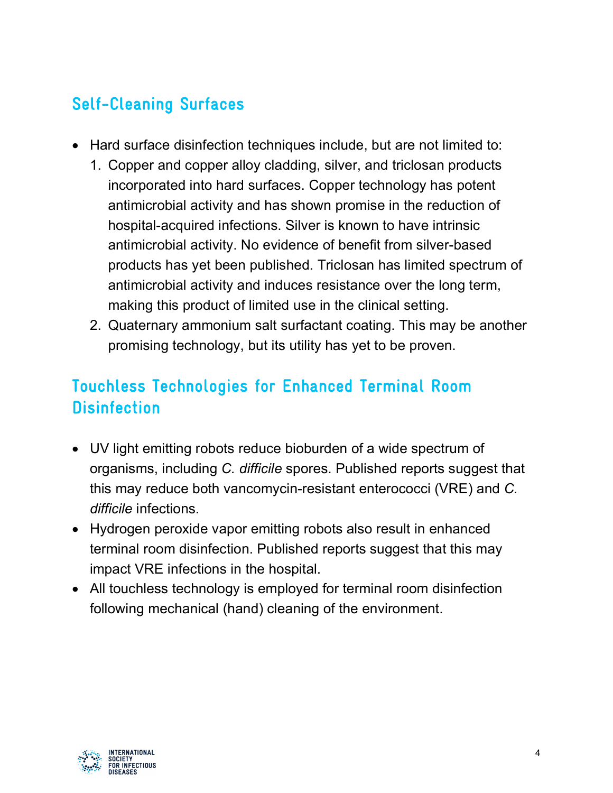#### Self-Cleaning Surfaces

- Hard surface disinfection techniques include, but are not limited to:
	- 1. Copper and copper alloy cladding, silver, and triclosan products incorporated into hard surfaces. Copper technology has potent antimicrobial activity and has shown promise in the reduction of hospital-acquired infections. Silver is known to have intrinsic antimicrobial activity. No evidence of benefit from silver-based products has yet been published. Triclosan has limited spectrum of antimicrobial activity and induces resistance over the long term, making this product of limited use in the clinical setting.
	- 2. Quaternary ammonium salt surfactant coating. This may be another promising technology, but its utility has yet to be proven.

#### Touchless Technologies for Enhanced Terminal Room **Disinfection**

- UV light emitting robots reduce bioburden of a wide spectrum of organisms, including *C. difficile* spores. Published reports suggest that this may reduce both vancomycin-resistant enterococci (VRE) and *C. difficile* infections.
- Hydrogen peroxide vapor emitting robots also result in enhanced terminal room disinfection. Published reports suggest that this may impact VRE infections in the hospital.
- All touchless technology is employed for terminal room disinfection following mechanical (hand) cleaning of the environment.

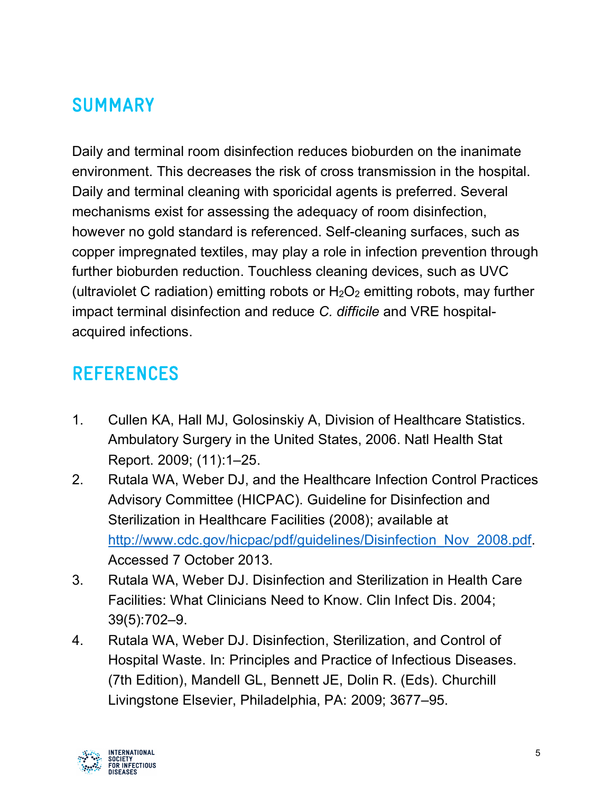### SUMMARY

Daily and terminal room disinfection reduces bioburden on the inanimate environment. This decreases the risk of cross transmission in the hospital. Daily and terminal cleaning with sporicidal agents is preferred. Several mechanisms exist for assessing the adequacy of room disinfection, however no gold standard is referenced. Self-cleaning surfaces, such as copper impregnated textiles, may play a role in infection prevention through further bioburden reduction. Touchless cleaning devices, such as UVC (ultraviolet C radiation) emitting robots or  $H_2O_2$  emitting robots, may further impact terminal disinfection and reduce *C. difficile* and VRE hospitalacquired infections.

### REFERENCES

- 1. Cullen KA, Hall MJ, Golosinskiy A, Division of Healthcare Statistics. Ambulatory Surgery in the United States, 2006. Natl Health Stat Report. 2009; (11):1–25.
- 2. Rutala WA, Weber DJ, and the Healthcare Infection Control Practices Advisory Committee (HICPAC). Guideline for Disinfection and Sterilization in Healthcare Facilities (2008); available at http://www.cdc.gov/hicpac/pdf/guidelines/Disinfection\_Nov\_2008.pdf. Accessed 7 October 2013.
- 3. Rutala WA, Weber DJ. Disinfection and Sterilization in Health Care Facilities: What Clinicians Need to Know. Clin Infect Dis. 2004; 39(5):702–9.
- 4. Rutala WA, Weber DJ. Disinfection, Sterilization, and Control of Hospital Waste. In: Principles and Practice of Infectious Diseases. (7th Edition), Mandell GL, Bennett JE, Dolin R. (Eds). Churchill Livingstone Elsevier, Philadelphia, PA: 2009; 3677–95.